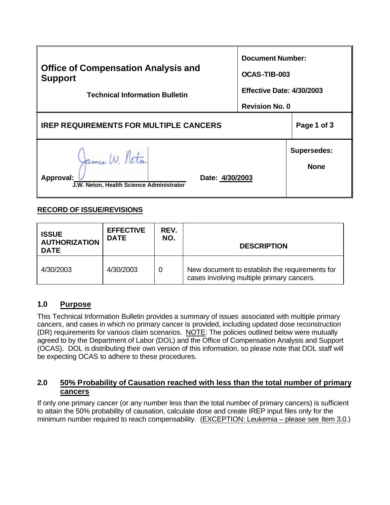| <b>Office of Compensation Analysis and</b><br><b>Support</b><br><b>Technical Information Bulletin</b> | <b>Document Number:</b><br>OCAS-TIB-003<br>Effective Date: 4/30/2003<br><b>Revision No. 0</b> |                                   |
|-------------------------------------------------------------------------------------------------------|-----------------------------------------------------------------------------------------------|-----------------------------------|
| <b>IREP REQUIREMENTS FOR MULTIPLE CANCERS</b>                                                         | Page 1 of 3                                                                                   |                                   |
| James W. Neton<br>Approval:<br>Date: 4/30/2003<br>J.W. Neton, Health Science Administrator            |                                                                                               | <b>Supersedes:</b><br><b>None</b> |

## **RECORD OF ISSUE/REVISIONS**

| <b>ISSUE</b><br><b>AUTHORIZATION</b><br><b>DATE</b> | <b>EFFECTIVE</b><br><b>DATE</b> | REV.<br>NO. | <b>DESCRIPTION</b>                                                                          |
|-----------------------------------------------------|---------------------------------|-------------|---------------------------------------------------------------------------------------------|
| 4/30/2003                                           | 4/30/2003                       | 0           | New document to establish the requirements for<br>cases involving multiple primary cancers. |

### **1.0 Purpose**

This Technical Information Bulletin provides a summary of issues associated with multiple primary cancers, and cases in which no primary cancer is provided, including updated dose reconstruction (DR) requirements for various claim scenarios. NOTE: The policies outlined below were mutually agreed to by the Department of Labor (DOL) and the Office of Compensation Analysis and Support (OCAS). DOL is distributing their own version of this information, so please note that DOL staff will be expecting OCAS to adhere to these procedures.

## **2.0 50% Probability of Causation reached with less than the total number of primary cancers**

If only one primary cancer (or any number less than the total number of primary cancers) is sufficient to attain the 50% probability of causation, calculate dose and create IREP input files only for the minimum number required to reach compensability. (EXCEPTION: Leukemia – please see Item 3.0.)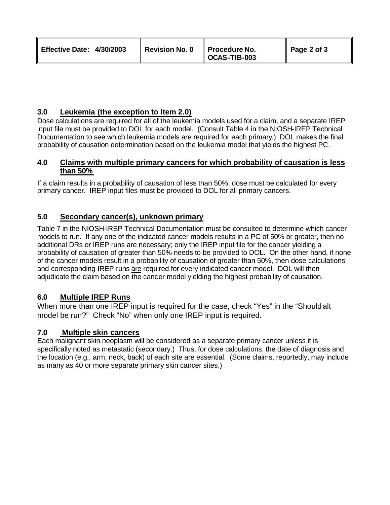| <b>Effective Date: 4/30/2003</b> | Revision No. 0 | Procedure No.<br>$\parallel$ OCAS-TIB-003 | Page 2 of 3 |
|----------------------------------|----------------|-------------------------------------------|-------------|
|----------------------------------|----------------|-------------------------------------------|-------------|

# **3.0 Leukemia (the exception to Item 2.0)**

Dose calculations are required for all of the leukemia models used for a claim, and a separate IREP input file must be provided to DOL for each model. (Consult Table 4 in the NIOSH-IREP Technical Documentation to see which leukemia models are required for each primary.) DOL makes the final probability of causation determination based on the leukemia model that yields the highest PC.

#### **4.0 Claims with multiple primary cancers for which probability of causation is less than 50%**

If a claim results in a probability of causation of less than 50%, dose must be calculated for every primary cancer. IREP input files must be provided to DOL for all primary cancers.

## **5.0 Secondary cancer(s), unknown primary**

Table 7 in the NIOSH-IREP Technical Documentation must be consulted to determine which cancer models to run. If any one of the indicated cancer models results in a PC of 50% or greater, then no additional DRs or IREP runs are necessary; only the IREP input file for the cancer yielding a probability of causation of greater than 50% needs to be provided to DOL. On the other hand, if none of the cancer models result in a probability of causation of greater than 50%, then dose calculations and corresponding IREP runs are required for every indicated cancer model. DOL will then adjudicate the claim based on the cancer model yielding the highest probability of causation.

### **6.0 Multiple IREP Runs**

When more than one IREP input is required for the case, check "Yes" in the "Should alt model be run?" Check "No" when only one IREP input is required.

### **7.0 Multiple skin cancers**

Each malignant skin neoplasm will be considered as a separate primary cancer unless it is specifically noted as metastatic (secondary.) Thus, for dose calculations, the date of diagnosis and the location (e.g., arm, neck, back) of each site are essential. (Some claims, reportedly, may include as many as 40 or more separate primary skin cancer sites.)